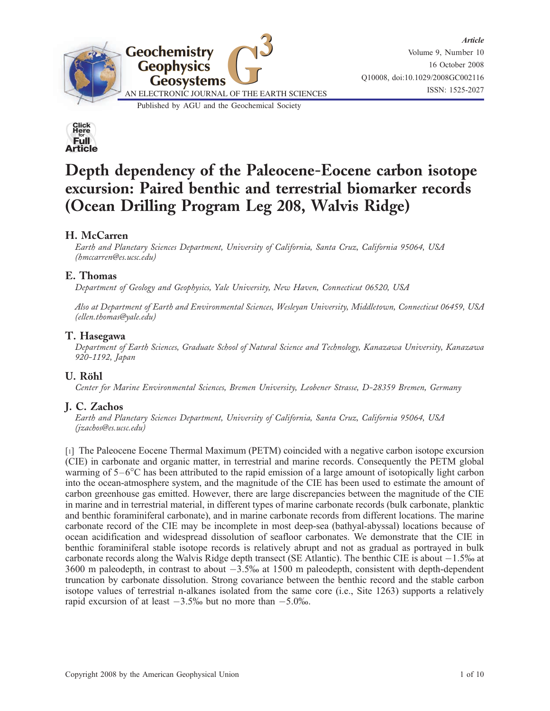



# Depth dependency of the Paleocene-Eocene carbon isotope excursion: Paired benthic and terrestrial biomarker records (Ocean Drilling Program Leg 208, Walvis Ridge)

### H. McCarren

Earth and Planetary Sciences Department, University of California, Santa Cruz, California 95064, USA (hmccarren@es.ucsc.edu)

### E. Thomas

Department of Geology and Geophysics, Yale University, New Haven, Connecticut 06520, USA

Also at Department of Earth and Environmental Sciences, Wesleyan University, Middletown, Connecticut 06459, USA (ellen.thomas@yale.edu)

### T. Hasegawa

Department of Earth Sciences, Graduate School of Natural Science and Technology, Kanazawa University, Kanazawa 920-1192, Japan

### U. Röhl

Center for Marine Environmental Sciences, Bremen University, Leobener Strasse, D-28359 Bremen, Germany

### J. C. Zachos

Earth and Planetary Sciences Department, University of California, Santa Cruz, California 95064, USA (jzachos@es.ucsc.edu)

[1] The Paleocene Eocene Thermal Maximum (PETM) coincided with a negative carbon isotope excursion (CIE) in carbonate and organic matter, in terrestrial and marine records. Consequently the PETM global warming of 5–6C has been attributed to the rapid emission of a large amount of isotopically light carbon into the ocean-atmosphere system, and the magnitude of the CIE has been used to estimate the amount of carbon greenhouse gas emitted. However, there are large discrepancies between the magnitude of the CIE in marine and in terrestrial material, in different types of marine carbonate records (bulk carbonate, planktic and benthic foraminiferal carbonate), and in marine carbonate records from different locations. The marine carbonate record of the CIE may be incomplete in most deep-sea (bathyal-abyssal) locations because of ocean acidification and widespread dissolution of seafloor carbonates. We demonstrate that the CIE in benthic foraminiferal stable isotope records is relatively abrupt and not as gradual as portrayed in bulk carbonate records along the Walvis Ridge depth transect (SE Atlantic). The benthic CIE is about  $-1.5\%$  at  $3600$  m paleodepth, in contrast to about  $-3.5\%$  at 1500 m paleodepth, consistent with depth-dependent truncation by carbonate dissolution. Strong covariance between the benthic record and the stable carbon isotope values of terrestrial n-alkanes isolated from the same core (i.e., Site 1263) supports a relatively rapid excursion of at least  $-3.5\%$  but no more than  $-5.0\%$ .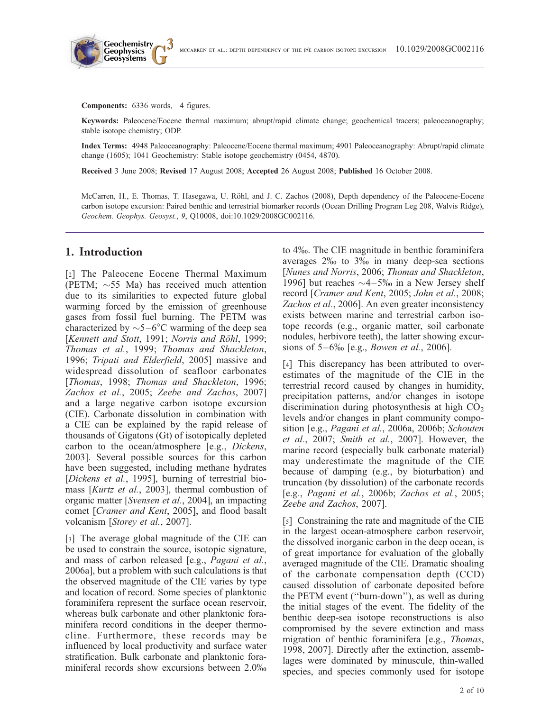Components: 6336 words, 4 figures.

**Geochemistry Geophysics**

Keywords: Paleocene/Eocene thermal maximum; abrupt/rapid climate change; geochemical tracers; paleoceanography; stable isotope chemistry; ODP.

Index Terms: 4948 Paleoceanography: Paleocene/Eocene thermal maximum; 4901 Paleoceanography: Abrupt/rapid climate change (1605); 1041 Geochemistry: Stable isotope geochemistry (0454, 4870).

Received 3 June 2008; Revised 17 August 2008; Accepted 26 August 2008; Published 16 October 2008.

McCarren, H., E. Thomas, T. Hasegawa, U. Röhl, and J. C. Zachos (2008), Depth dependency of the Paleocene-Eocene carbon isotope excursion: Paired benthic and terrestrial biomarker records (Ocean Drilling Program Leg 208, Walvis Ridge), Geochem. Geophys. Geosyst., 9, Q10008, doi:10.1029/2008GC002116.

#### 1. Introduction

[2] The Paleocene Eocene Thermal Maximum (PETM;  $\sim$  55 Ma) has received much attention due to its similarities to expected future global warming forced by the emission of greenhouse gases from fossil fuel burning. The PETM was characterized by  $\sim$ 5-6°C warming of the deep sea [Kennett and Stott, 1991; Norris and Röhl, 1999; Thomas et al., 1999; Thomas and Shackleton, 1996; Tripati and Elderfield, 2005] massive and widespread dissolution of seafloor carbonates [Thomas, 1998; Thomas and Shackleton, 1996; Zachos et al., 2005; Zeebe and Zachos, 2007] and a large negative carbon isotope excursion (CIE). Carbonate dissolution in combination with a CIE can be explained by the rapid release of thousands of Gigatons (Gt) of isotopically depleted carbon to the ocean/atmosphere [e.g., Dickens, 2003]. Several possible sources for this carbon have been suggested, including methane hydrates [Dickens et al., 1995], burning of terrestrial biomass [Kurtz et al., 2003], thermal combustion of organic matter [Svensen et al., 2004], an impacting comet [Cramer and Kent, 2005], and flood basalt volcanism [Storey et al., 2007].

[3] The average global magnitude of the CIE can be used to constrain the source, isotopic signature, and mass of carbon released [e.g., Pagani et al., 2006a], but a problem with such calculations is that the observed magnitude of the CIE varies by type and location of record. Some species of planktonic foraminifera represent the surface ocean reservoir, whereas bulk carbonate and other planktonic foraminifera record conditions in the deeper thermocline. Furthermore, these records may be influenced by local productivity and surface water stratification. Bulk carbonate and planktonic foraminiferal records show excursions between 2.0% to 4%. The CIE magnitude in benthic foraminifera averages 2% to 3% in many deep-sea sections [Nunes and Norris, 2006; Thomas and Shackleton, 1996] but reaches  $\sim$  4–5‰ in a New Jersey shelf record [Cramer and Kent, 2005; John et al., 2008; Zachos et al., 2006]. An even greater inconsistency exists between marine and terrestrial carbon isotope records (e.g., organic matter, soil carbonate nodules, herbivore teeth), the latter showing excursions of  $5-6\%$  [e.g., *Bowen et al.*, 2006].

[4] This discrepancy has been attributed to overestimates of the magnitude of the CIE in the terrestrial record caused by changes in humidity, precipitation patterns, and/or changes in isotope discrimination during photosynthesis at high  $CO<sub>2</sub>$ levels and/or changes in plant community composition [e.g., Pagani et al., 2006a, 2006b; Schouten et al., 2007; Smith et al., 2007]. However, the marine record (especially bulk carbonate material) may underestimate the magnitude of the CIE because of damping (e.g., by bioturbation) and truncation (by dissolution) of the carbonate records [e.g., Pagani et al., 2006b; Zachos et al., 2005; Zeebe and Zachos, 2007].

[5] Constraining the rate and magnitude of the CIE in the largest ocean-atmosphere carbon reservoir, the dissolved inorganic carbon in the deep ocean, is of great importance for evaluation of the globally averaged magnitude of the CIE. Dramatic shoaling of the carbonate compensation depth (CCD) caused dissolution of carbonate deposited before the PETM event (''burn-down''), as well as during the initial stages of the event. The fidelity of the benthic deep-sea isotope reconstructions is also compromised by the severe extinction and mass migration of benthic foraminifera [e.g., Thomas, 1998, 2007]. Directly after the extinction, assemblages were dominated by minuscule, thin-walled species, and species commonly used for isotope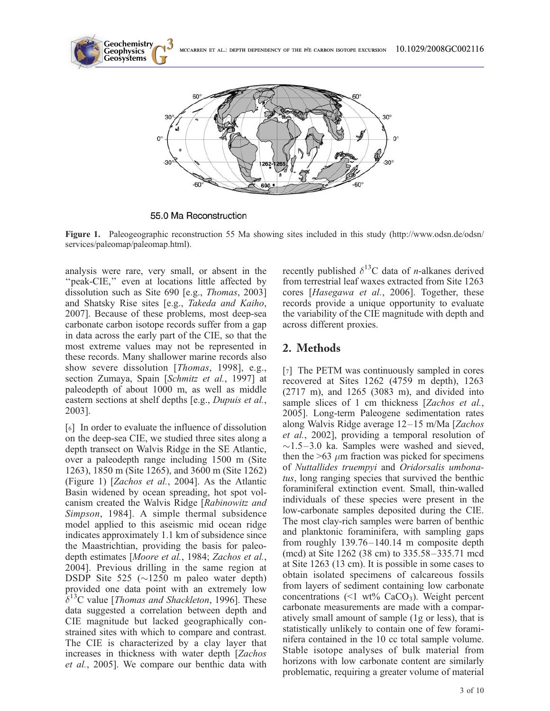

55.0 Ma Reconstruction

Figure 1. Paleogeographic reconstruction 55 Ma showing sites included in this study (http://www.odsn.de/odsn/ services/paleomap/paleomap.html).

analysis were rare, very small, or absent in the "peak-CIE," even at locations little affected by dissolution such as Site 690 [e.g., Thomas, 2003] and Shatsky Rise sites [e.g., Takeda and Kaiho, 2007]. Because of these problems, most deep-sea carbonate carbon isotope records suffer from a gap in data across the early part of the CIE, so that the most extreme values may not be represented in these records. Many shallower marine records also show severe dissolution [Thomas, 1998], e.g., section Zumaya, Spain [Schmitz et al., 1997] at paleodepth of about 1000 m, as well as middle eastern sections at shelf depths [e.g., Dupuis et al., 2003].

[6] In order to evaluate the influence of dissolution on the deep-sea CIE, we studied three sites along a depth transect on Walvis Ridge in the SE Atlantic, over a paleodepth range including 1500 m (Site 1263), 1850 m (Site 1265), and 3600 m (Site 1262) (Figure 1) [Zachos et al., 2004]. As the Atlantic Basin widened by ocean spreading, hot spot volcanism created the Walvis Ridge [Rabinowitz and Simpson, 1984]. A simple thermal subsidence model applied to this aseismic mid ocean ridge indicates approximately 1.1 km of subsidence since the Maastrichtian, providing the basis for paleodepth estimates [Moore et al., 1984; Zachos et al., 2004]. Previous drilling in the same region at DSDP Site 525 ( $\sim$ 1250 m paleo water depth) provided one data point with an extremely low  $\delta^{13}$ C value [*Thomas and Shackleton*, 1996]. These data suggested a correlation between depth and CIE magnitude but lacked geographically constrained sites with which to compare and contrast. The CIE is characterized by a clay layer that increases in thickness with water depth [Zachos et al., 2005]. We compare our benthic data with recently published  $\delta^{13}$ C data of *n*-alkanes derived from terrestrial leaf waxes extracted from Site 1263 cores [Hasegawa et al., 2006]. Together, these records provide a unique opportunity to evaluate the variability of the CIE magnitude with depth and across different proxies.

# 2. Methods

[7] The PETM was continuously sampled in cores recovered at Sites 1262 (4759 m depth), 1263 (2717 m), and 1265 (3083 m), and divided into sample slices of 1 cm thickness [Zachos et al., 2005]. Long-term Paleogene sedimentation rates along Walvis Ridge average 12–15 m/Ma [Zachos et al., 2002], providing a temporal resolution of  $\sim$ 1.5–3.0 ka. Samples were washed and sieved, then the  $>63 \mu m$  fraction was picked for specimens of Nuttallides truempyi and Oridorsalis umbonatus, long ranging species that survived the benthic foraminiferal extinction event. Small, thin-walled individuals of these species were present in the low-carbonate samples deposited during the CIE. The most clay-rich samples were barren of benthic and planktonic foraminifera, with sampling gaps from roughly 139.76–140.14 m composite depth (mcd) at Site 1262 (38 cm) to 335.58–335.71 mcd at Site 1263 (13 cm). It is possible in some cases to obtain isolated specimens of calcareous fossils from layers of sediment containing low carbonate concentrations (<1 wt%  $CaCO<sub>3</sub>$ ). Weight percent carbonate measurements are made with a comparatively small amount of sample (1g or less), that is statistically unlikely to contain one of few foraminifera contained in the 10 cc total sample volume. Stable isotope analyses of bulk material from horizons with low carbonate content are similarly problematic, requiring a greater volume of material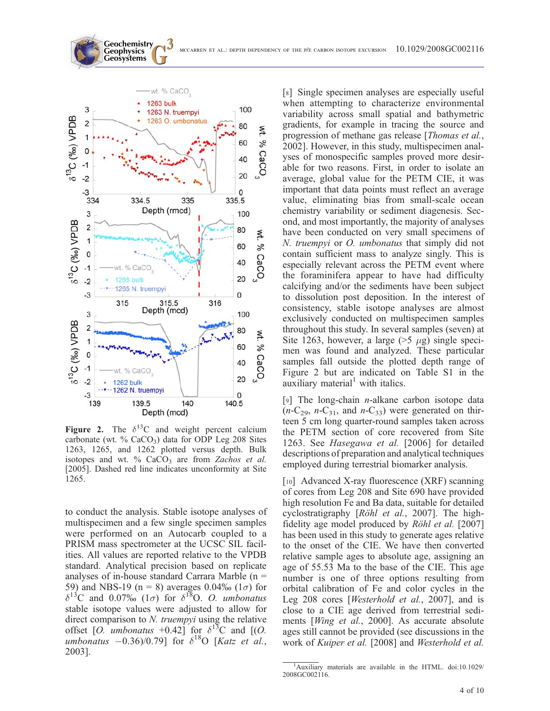

**Geochemistry Geophysics**

Figure 2. The  $\delta^{13}$ C and weight percent calcium carbonate (wt.  $\%$  CaCO<sub>3</sub>) data for ODP Leg 208 Sites 1263, 1265, and 1262 plotted versus depth. Bulk isotopes and wt. %  $CaCO<sub>3</sub>$  are from Zachos et al. [2005]. Dashed red line indicates unconformity at Site 1265.

to conduct the analysis. Stable isotope analyses of multispecimen and a few single specimen samples were performed on an Autocarb coupled to a PRISM mass spectrometer at the UCSC SIL facilities. All values are reported relative to the VPDB standard. Analytical precision based on replicate analyses of in-house standard Carrara Marble (n = 59) and NBS-19 (n = 8) averages 0.04‰ (1 $\sigma$ ) for  $\delta^{13}$ C and 0.07‰ (1 $\sigma$ ) for  $\delta^{18}$ O. O. umbonatus stable isotope values were adjusted to allow for direct comparison to N. truempyi using the relative offset [O. *umbonatus* +0.42] for  $\delta^{13}C$  and [(O. umbonatus  $-0.36/0.79$ ] for  $\delta^{18}$ O [Katz et al., 2003].

[8] Single specimen analyses are especially useful when attempting to characterize environmental variability across small spatial and bathymetric gradients, for example in tracing the source and progression of methane gas release [Thomas et al., 2002]. However, in this study, multispecimen analyses of monospecific samples proved more desirable for two reasons. First, in order to isolate an average, global value for the PETM CIE, it was important that data points must reflect an average value, eliminating bias from small-scale ocean chemistry variability or sediment diagenesis. Second, and most importantly, the majority of analyses have been conducted on very small specimens of N. truempyi or O. umbonatus that simply did not contain sufficient mass to analyze singly. This is especially relevant across the PETM event where the foraminifera appear to have had difficulty calcifying and/or the sediments have been subject to dissolution post deposition. In the interest of consistency, stable isotope analyses are almost exclusively conducted on multispecimen samples throughout this study. In several samples (seven) at Site 1263, however, a large  $(>5 \mu g)$  single specimen was found and analyzed. These particular samples fall outside the plotted depth range of Figure 2 but are indicated on Table S1 in the auxiliary material<sup>1</sup> with italics.

[9] The long-chain *n*-alkane carbon isotope data  $(n-C_{29}, n-C_{31}, \text{ and } n-C_{33})$  were generated on thirteen 5 cm long quarter-round samples taken across the PETM section of core recovered from Site 1263. See Hasegawa et al. [2006] for detailed descriptions of preparation and analytical techniques employed during terrestrial biomarker analysis.

[10] Advanced X-ray fluorescence (XRF) scanning of cores from Leg 208 and Site 690 have provided high resolution Fe and Ba data, suitable for detailed cyclostratigraphy [Röhl et al., 2007]. The highfidelity age model produced by  $R\ddot{o}hl$  et al. [2007] has been used in this study to generate ages relative to the onset of the CIE. We have then converted relative sample ages to absolute age, assigning an age of 55.53 Ma to the base of the CIE. This age number is one of three options resulting from orbital calibration of Fe and color cycles in the Leg 208 cores [Westerhold et al., 2007], and is close to a CIE age derived from terrestrial sediments [Wing et al., 2000]. As accurate absolute ages still cannot be provided (see discussions in the work of Kuiper et al. [2008] and Westerhold et al.

<sup>&</sup>lt;sup>1</sup>Auxiliary materials are available in the HTML. doi:10.1029/ 2008GC002116.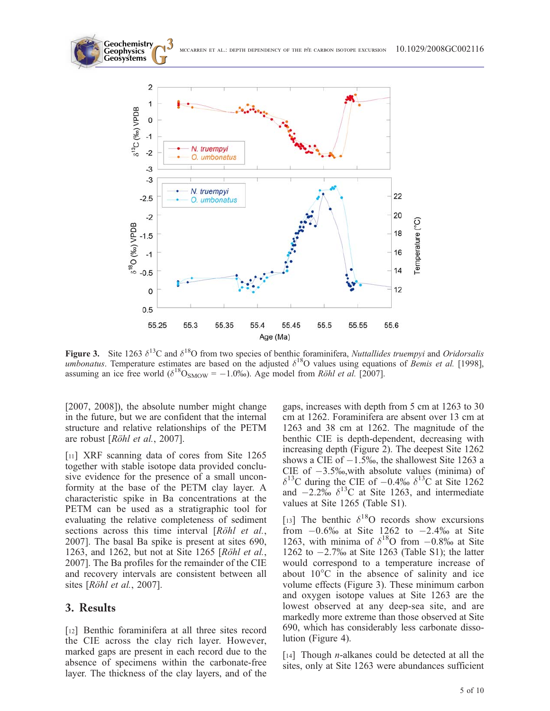



Figure 3. Site 1263  $\delta^{13}$ C and  $\delta^{18}$ O from two species of benthic foraminifera, Nuttallides truempyi and Oridorsalis umbonatus. Temperature estimates are based on the adjusted  $\delta^{18}O$  values using equations of Bemis et al. [1998], assuming an ice free world ( $\delta^{18}O_{SMOW} = -1.0\%$ ). Age model from Röhl et al. [2007].

[2007, 2008]), the absolute number might change in the future, but we are confident that the internal structure and relative relationships of the PETM are robust [Röhl et al., 2007].

[11] XRF scanning data of cores from Site 1265 together with stable isotope data provided conclusive evidence for the presence of a small unconformity at the base of the PETM clay layer. A characteristic spike in Ba concentrations at the PETM can be used as a stratigraphic tool for evaluating the relative completeness of sediment sections across this time interval  $[R\ddot{o}hl$  et al., 2007]. The basal Ba spike is present at sites 690, 1263, and 1262, but not at Site 1265 [ $Röhl$  et al., 2007]. The Ba profiles for the remainder of the CIE and recovery intervals are consistent between all sites [Röhl et al., 2007].

### 3. Results

[12] Benthic foraminifera at all three sites record the CIE across the clay rich layer. However, marked gaps are present in each record due to the absence of specimens within the carbonate-free layer. The thickness of the clay layers, and of the gaps, increases with depth from 5 cm at 1263 to 30 cm at 1262. Foraminifera are absent over 13 cm at 1263 and 38 cm at 1262. The magnitude of the benthic CIE is depth-dependent, decreasing with increasing depth (Figure 2). The deepest Site 1262 shows a CIE of  $-1.5\%$ , the shallowest Site 1263 a CIE of  $-3.5\%$ , with absolute values (minima) of  $\delta^{13}$ C during the CIE of  $-0.4\%$   $\delta^{13}$ C at Site 1262 and  $-2.2\%$   $\delta^{13}$ C at Site 1263, and intermediate values at Site 1265 (Table S1).

[13] The benthic  $\delta^{18}$ O records show excursions from  $-0.6\%$  at Site 1262 to  $-2.4\%$  at Site 1263, with minima of  $\delta^{18}$ O from  $-0.8\%$  at Site 1262 to  $-2.7\%$  at Site 1263 (Table S1); the latter would correspond to a temperature increase of about  $10^{\circ}$ C in the absence of salinity and ice volume effects (Figure 3). These minimum carbon and oxygen isotope values at Site 1263 are the lowest observed at any deep-sea site, and are markedly more extreme than those observed at Site 690, which has considerably less carbonate dissolution (Figure 4).

[14] Though *n*-alkanes could be detected at all the sites, only at Site 1263 were abundances sufficient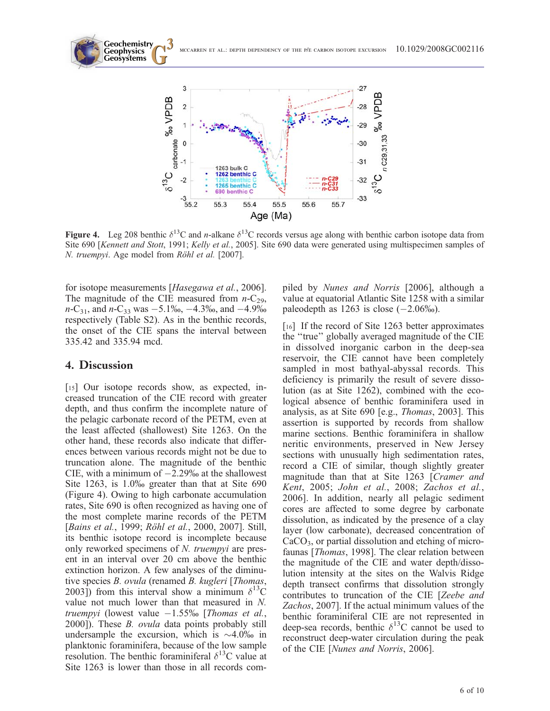**Geochemistry Geosystems G3** mccarren et al.: depth dependency of the p/e carbon isotope excursion 10.1029/2008GC002116 **Geophysics** 3 % VPDB  $\overline{2}$ 1  $\mathbf 0$ 30



Figure 4. Leg 208 benthic  $\delta^{13}$ C and *n*-alkane  $\delta^{13}$ C records versus age along with benthic carbon isotope data from Site 690 [Kennett and Stott, 1991; Kelly et al., 2005]. Site 690 data were generated using multispecimen samples of N. truempyi. Age model from Röhl et al. [2007].

for isotope measurements [Hasegawa et al., 2006]. The magnitude of the CIE measured from  $n-C_{29}$ ,  $n\text{-}C_{31}$ , and  $n\text{-}C_{33}$  was  $-5.1\%$ ,  $-4.3\%$ , and  $-4.9\%$ respectively (Table S2). As in the benthic records, the onset of the CIE spans the interval between 335.42 and 335.94 mcd.

### 4. Discussion

[15] Our isotope records show, as expected, increased truncation of the CIE record with greater depth, and thus confirm the incomplete nature of the pelagic carbonate record of the PETM, even at the least affected (shallowest) Site 1263. On the other hand, these records also indicate that differences between various records might not be due to truncation alone. The magnitude of the benthic CIE, with a minimum of  $-2.29%$  at the shallowest Site 1263, is 1.0% greater than that at Site 690 (Figure 4). Owing to high carbonate accumulation rates, Site 690 is often recognized as having one of the most complete marine records of the PETM [Bains et al., 1999; Röhl et al., 2000, 2007]. Still, its benthic isotope record is incomplete because only reworked specimens of N. truempyi are present in an interval over 20 cm above the benthic extinction horizon. A few analyses of the diminutive species B. ovula (renamed B. kugleri [Thomas, 2003]) from this interval show a minimum  $\delta^{13}$ C value not much lower than that measured in N. truempyi (lowest value  $-1.55\%$  [Thomas et al., 2000]). These *B. ovula* data points probably still undersample the excursion, which is  $\sim$ 4.0% in planktonic foraminifera, because of the low sample resolution. The benthic foraminiferal  $\delta^{13}$ C value at Site 1263 is lower than those in all records compiled by Nunes and Norris [2006], although a value at equatorial Atlantic Site 1258 with a similar paleodepth as  $1263$  is close  $(-2.06\%)$ .

[16] If the record of Site 1263 better approximates the ''true'' globally averaged magnitude of the CIE in dissolved inorganic carbon in the deep-sea reservoir, the CIE cannot have been completely sampled in most bathyal-abyssal records. This deficiency is primarily the result of severe dissolution (as at Site 1262), combined with the ecological absence of benthic foraminifera used in analysis, as at Site 690 [e.g., Thomas, 2003]. This assertion is supported by records from shallow marine sections. Benthic foraminifera in shallow neritic environments, preserved in New Jersey sections with unusually high sedimentation rates, record a CIE of similar, though slightly greater magnitude than that at Site 1263 [Cramer and Kent, 2005; John et al., 2008; Zachos et al., 2006]. In addition, nearly all pelagic sediment cores are affected to some degree by carbonate dissolution, as indicated by the presence of a clay layer (low carbonate), decreased concentration of  $CaCO<sub>3</sub>$ , or partial dissolution and etching of microfaunas [Thomas, 1998]. The clear relation between the magnitude of the CIE and water depth/dissolution intensity at the sites on the Walvis Ridge depth transect confirms that dissolution strongly contributes to truncation of the CIE [Zeebe and Zachos, 2007]. If the actual minimum values of the benthic foraminiferal CIE are not represented in deep-sea records, benthic  $\delta^{13}$ C cannot be used to reconstruct deep-water circulation during the peak of the CIE [Nunes and Norris, 2006].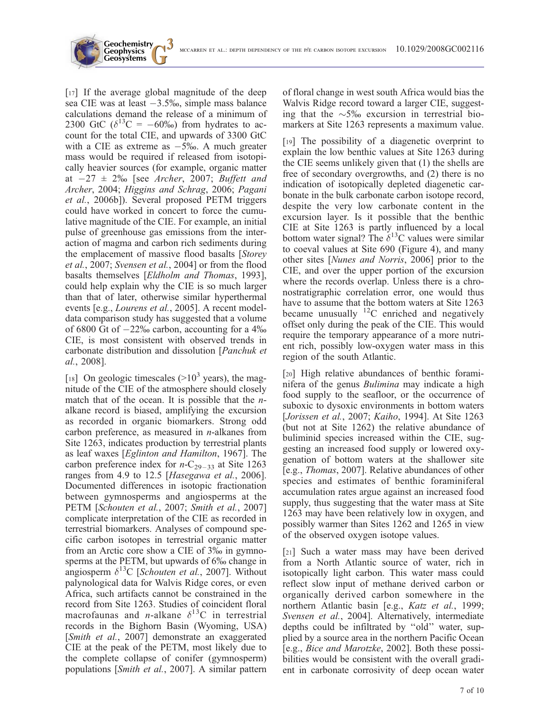

[17] If the average global magnitude of the deep sea CIE was at least  $-3.5\%$ , simple mass balance calculations demand the release of a minimum of 2300 GtC ( $\delta^{13}$ C = -60%) from hydrates to account for the total CIE, and upwards of 3300 GtC with a CIE as extreme as  $-5\%$ . A much greater mass would be required if released from isotopically heavier sources (for example, organic matter at  $-27 \pm 2\%$  [see Archer, 2007; Buffett and Archer, 2004; Higgins and Schrag, 2006; Pagani et al., 2006b]). Several proposed PETM triggers could have worked in concert to force the cumulative magnitude of the CIE. For example, an initial pulse of greenhouse gas emissions from the interaction of magma and carbon rich sediments during the emplacement of massive flood basalts [Storey et al., 2007; Svensen et al., 2004] or from the flood basalts themselves [Eldholm and Thomas, 1993], could help explain why the CIE is so much larger than that of later, otherwise similar hyperthermal events [e.g., Lourens et al., 2005]. A recent modeldata comparison study has suggested that a volume of 6800 Gt of  $-22\%$  carbon, accounting for a 4% CIE, is most consistent with observed trends in carbonate distribution and dissolution [Panchuk et al., 2008].

**Geochemistry Geophysics**

[18] On geologic timescales  $(>10^3$  years), the magnitude of the CIE of the atmosphere should closely match that of the ocean. It is possible that the  $n$ alkane record is biased, amplifying the excursion as recorded in organic biomarkers. Strong odd carbon preference, as measured in  $n$ -alkanes from Site 1263, indicates production by terrestrial plants as leaf waxes [Eglinton and Hamilton, 1967]. The carbon preference index for  $n-C_{29-33}$  at Site 1263 ranges from 4.9 to 12.5 [Hasegawa et al., 2006]. Documented differences in isotopic fractionation between gymnosperms and angiosperms at the PETM [Schouten et al., 2007; Smith et al., 2007] complicate interpretation of the CIE as recorded in terrestrial biomarkers. Analyses of compound specific carbon isotopes in terrestrial organic matter from an Arctic core show a CIE of 3% in gymnosperms at the PETM, but upwards of  $6\%$  change in angiosperm  $\delta^{13}$ C [Schouten et al., 2007]. Without palynological data for Walvis Ridge cores, or even Africa, such artifacts cannot be constrained in the record from Site 1263. Studies of coincident floral macrofaunas and *n*-alkane  $\delta^{13}$ C in terrestrial records in the Bighorn Basin (Wyoming, USA) [Smith et al., 2007] demonstrate an exaggerated CIE at the peak of the PETM, most likely due to the complete collapse of conifer (gymnosperm) populations [Smith et al., 2007]. A similar pattern of floral change in west south Africa would bias the Walvis Ridge record toward a larger CIE, suggesting that the  $\sim 5\%$  excursion in terrestrial biomarkers at Site 1263 represents a maximum value.

[19] The possibility of a diagenetic overprint to explain the low benthic values at Site 1263 during the CIE seems unlikely given that (1) the shells are free of secondary overgrowths, and (2) there is no indication of isotopically depleted diagenetic carbonate in the bulk carbonate carbon isotope record, despite the very low carbonate content in the excursion layer. Is it possible that the benthic CIE at Site 1263 is partly influenced by a local bottom water signal? The  $\delta^{13}$ C values were similar to coeval values at Site 690 (Figure 4), and many other sites [Nunes and Norris, 2006] prior to the CIE, and over the upper portion of the excursion where the records overlap. Unless there is a chronostratigraphic correlation error, one would thus have to assume that the bottom waters at Site 1263 became unusually  $^{12}$ C enriched and negatively offset only during the peak of the CIE. This would require the temporary appearance of a more nutrient rich, possibly low-oxygen water mass in this region of the south Atlantic.

[20] High relative abundances of benthic foraminifera of the genus Bulimina may indicate a high food supply to the seafloor, or the occurrence of suboxic to dysoxic environments in bottom waters [Jorissen et al., 2007; Kaiho, 1994]. At Site 1263 (but not at Site 1262) the relative abundance of buliminid species increased within the CIE, suggesting an increased food supply or lowered oxygenation of bottom waters at the shallower site [e.g., Thomas, 2007]. Relative abundances of other species and estimates of benthic foraminiferal accumulation rates argue against an increased food supply, thus suggesting that the water mass at Site 1263 may have been relatively low in oxygen, and possibly warmer than Sites 1262 and 1265 in view of the observed oxygen isotope values.

[21] Such a water mass may have been derived from a North Atlantic source of water, rich in isotopically light carbon. This water mass could reflect slow input of methane derived carbon or organically derived carbon somewhere in the northern Atlantic basin [e.g., *Katz et al.*, 1999; Svensen et al., 2004]. Alternatively, intermediate depths could be infiltrated by ''old'' water, supplied by a source area in the northern Pacific Ocean [e.g., Bice and Marotzke, 2002]. Both these possibilities would be consistent with the overall gradient in carbonate corrosivity of deep ocean water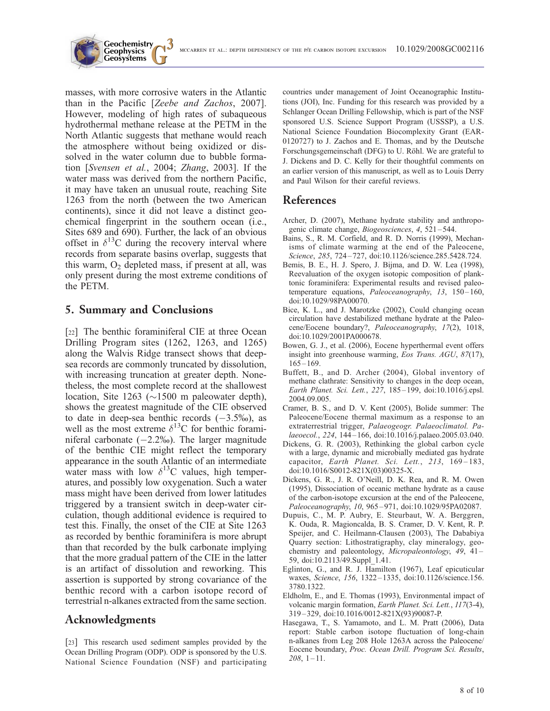

masses, with more corrosive waters in the Atlantic than in the Pacific [Zeebe and Zachos, 2007]. However, modeling of high rates of subaqueous hydrothermal methane release at the PETM in the North Atlantic suggests that methane would reach the atmosphere without being oxidized or dissolved in the water column due to bubble formation [Svensen et al., 2004; Zhang, 2003]. If the water mass was derived from the northern Pacific, it may have taken an unusual route, reaching Site 1263 from the north (between the two American continents), since it did not leave a distinct geochemical fingerprint in the southern ocean (i.e., Sites 689 and 690). Further, the lack of an obvious offset in  $\delta^{13}$ C during the recovery interval where records from separate basins overlap, suggests that this warm,  $O_2$  depleted mass, if present at all, was only present during the most extreme conditions of the PETM.

### 5. Summary and Conclusions

[22] The benthic foraminiferal CIE at three Ocean Drilling Program sites (1262, 1263, and 1265) along the Walvis Ridge transect shows that deepsea records are commonly truncated by dissolution, with increasing truncation at greater depth. Nonetheless, the most complete record at the shallowest location, Site 1263 ( $\sim$ 1500 m paleowater depth), shows the greatest magnitude of the CIE observed to date in deep-sea benthic records  $(-3.5\%)$ , as well as the most extreme  $\delta^{13}$ C for benthic foraminiferal carbonate  $(-2.2\%)$ . The larger magnitude of the benthic CIE might reflect the temporary appearance in the south Atlantic of an intermediate water mass with low  $\delta^{13}$ C values, high temperatures, and possibly low oxygenation. Such a water mass might have been derived from lower latitudes triggered by a transient switch in deep-water circulation, though additional evidence is required to test this. Finally, the onset of the CIE at Site 1263 as recorded by benthic foraminifera is more abrupt than that recorded by the bulk carbonate implying that the more gradual pattern of the CIE in the latter is an artifact of dissolution and reworking. This assertion is supported by strong covariance of the benthic record with a carbon isotope record of terrestrial n-alkanes extracted from the same section.

## Acknowledgments

[23] This research used sediment samples provided by the Ocean Drilling Program (ODP). ODP is sponsored by the U.S. National Science Foundation (NSF) and participating countries under management of Joint Oceanographic Institutions (JOI), Inc. Funding for this research was provided by a Schlanger Ocean Drilling Fellowship, which is part of the NSF sponsored U.S. Science Support Program (USSSP), a U.S. National Science Foundation Biocomplexity Grant (EAR-0120727) to J. Zachos and E. Thomas, and by the Deutsche Forschungsgemeinschaft (DFG) to U. Röhl. We are grateful to J. Dickens and D. C. Kelly for their thoughtful comments on an earlier version of this manuscript, as well as to Louis Derry and Paul Wilson for their careful reviews.

## References

- Archer, D. (2007), Methane hydrate stability and anthropogenic climate change, *Biogeosciences*, 4, 521-544.
- Bains, S., R. M. Corfield, and R. D. Norris (1999), Mechanisms of climate warming at the end of the Paleocene, Science, 285, 724 – 727, doi:10.1126/science.285.5428.724.
- Bemis, B. E., H. J. Spero, J. Bijma, and D. W. Lea (1998), Reevaluation of the oxygen isotopic composition of planktonic foraminifera: Experimental results and revised paleotemperature equations, Paleoceanography, 13, 150-160, doi:10.1029/98PA00070.
- Bice, K. L., and J. Marotzke (2002), Could changing ocean circulation have destabilized methane hydrate at the Paleocene/Eocene boundary?, Paleoceanography, 17(2), 1018, doi:10.1029/2001PA000678.
- Bowen, G. J., et al. (2006), Eocene hyperthermal event offers insight into greenhouse warming, Eos Trans. AGU, 87(17),  $165 - 169$ .
- Buffett, B., and D. Archer (2004), Global inventory of methane clathrate: Sensitivity to changes in the deep ocean, Earth Planet. Sci. Lett., 227, 185 – 199, doi:10.1016/j.epsl. 2004.09.005.
- Cramer, B. S., and D. V. Kent (2005), Bolide summer: The Paleocene/Eocene thermal maximum as a response to an extraterrestrial trigger, Palaeogeogr. Palaeoclimatol. Palaeoecol., 224, 144 – 166, doi:10.1016/j.palaeo.2005.03.040.
- Dickens, G. R. (2003), Rethinking the global carbon cycle with a large, dynamic and microbially mediated gas hydrate capacitor, Earth Planet. Sci. Lett., 213, 169-183, doi:10.1016/S0012-821X(03)00325-X.
- Dickens, G. R., J. R. O'Neill, D. K. Rea, and R. M. Owen (1995), Dissociation of oceanic methane hydrate as a cause of the carbon-isotope excursion at the end of the Paleocene, Paleoceanography, 10, 965 – 971, doi:10.1029/95PA02087.
- Dupuis, C., M. P. Aubry, E. Steurbaut, W. A. Berggren, K. Ouda, R. Magioncalda, B. S. Cramer, D. V. Kent, R. P. Speijer, and C. Heilmann-Clausen (2003), The Dababiya Quarry section: Lithostratigraphy, clay mineralogy, geochemistry and paleontology, Micropaleontology, 49, 41-59, doi:10.2113/49.Suppl\_1.41.
- Eglinton, G., and R. J. Hamilton (1967), Leaf epicuticular waxes, Science, 156, 1322-1335, doi:10.1126/science.156. 3780.1322.
- Eldholm, E., and E. Thomas (1993), Environmental impact of volcanic margin formation, Earth Planet. Sci. Lett., 117(3-4), 319 – 329, doi:10.1016/0012-821X(93)90087-P.
- Hasegawa, T., S. Yamamoto, and L. M. Pratt (2006), Data report: Stable carbon isotope fluctuation of long-chain n-alkanes from Leg 208 Hole 1263A across the Paleocene/ Eocene boundary, Proc. Ocean Drill. Program Sci. Results,  $208, 1 - 11.$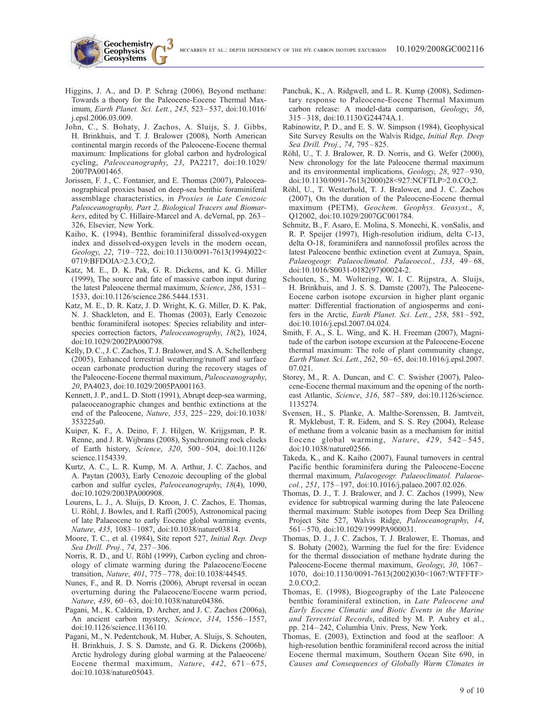Higgins, J. A., and D. P. Schrag (2006), Beyond methane: Towards a theory for the Paleocene-Eocene Thermal Maximum, Earth Planet. Sci. Lett., 245, 523 – 537, doi:10.1016/ j.epsl.2006.03.009.

**Geochemistry Geophysics**

- John, C., S. Bohaty, J. Zachos, A. Sluijs, S. J. Gibbs, H. Brinkhuis, and T. J. Bralower (2008), North American continental margin records of the Paleocene-Eocene thermal maximum: Implications for global carbon and hydrological cycling, Paleoceanography, 23, PA2217, doi:10.1029/ 2007PA001465.
- Jorissen, F. J., C. Fontanier, and E. Thomas (2007), Paleoceanographical proxies based on deep-sea benthic foraminiferal assemblage characteristics, in Proxies in Late Cenozoic Paleoceanography, Part 2, Biological Tracers and Biomarkers, edited by C. Hillaire-Marcel and A. deVernal, pp. 263 – 326, Elsevier, New York.
- Kaiho, K. (1994), Benthic foraminiferal dissolved-oxygen index and dissolved-oxygen levels in the modern ocean, Geology, 22, 719 – 722, doi:10.1130/0091-7613(1994)022< 0719:BFDOIA>2.3.CO;2.
- Katz, M. E., D. K. Pak, G. R. Dickens, and K. G. Miller (1999), The source and fate of massive carbon input during the latest Paleocene thermal maximum, Science, 286, 1531 – 1533, doi:10.1126/science.286.5444.1531.
- Katz, M. E., D. R. Katz, J. D. Wright, K. G. Miller, D. K. Pak, N. J. Shackleton, and E. Thomas (2003), Early Cenozoic benthic foraminiferal isotopes: Species reliability and interspecies correction factors, Paleoceanography, 18(2), 1024, doi:10.1029/2002PA000798.
- Kelly, D. C., J. C. Zachos, T. J. Bralower, and S. A. Schellenberg (2005), Enhanced terrestrial weathering/runoff and surface ocean carbonate production during the recovery stages of the Paleocene-Eocene thermal maximum, Paleoceanography, 20, PA4023, doi:10.1029/2005PA001163.
- Kennett, J. P., and L. D. Stott (1991), Abrupt deep-sea warming, palaeoceanographic changes and benthic extinctions at the end of the Paleocene, Nature, 353, 225 – 229, doi:10.1038/ 353225a0.
- Kuiper, K. F., A. Deino, F. J. Hilgen, W. Krijgsman, P. R. Renne, and J. R. Wijbrans (2008), Synchronizing rock clocks of Earth history, Science, 320, 500-504, doi:10.1126/ science.1154339.
- Kurtz, A. C., L. R. Kump, M. A. Arthur, J. C. Zachos, and A. Paytan (2003), Early Cenozoic decoupling of the global carbon and sulfur cycles, Paleoceanography, 18(4), 1090, doi:10.1029/2003PA000908.
- Lourens, L. J., A. Sluijs, D. Kroon, J. C. Zachos, E. Thomas, U. Röhl, J. Bowles, and I. Raffi (2005), Astronomical pacing of late Palaeocene to early Eocene global warming events, Nature, 435, 1083 – 1087, doi:10.1038/nature03814.
- Moore, T. C., et al. (1984), Site report 527, Initial Rep. Deep Sea Drill. Proj., 74, 237-306.
- Norris, R. D., and U. Röhl (1999), Carbon cycling and chronology of climate warming during the Palaeocene/Eocene transition, Nature, 401, 775 – 778, doi:10.1038/44545.
- Nunes, F., and R. D. Norris (2006), Abrupt reversal in ocean overturning during the Palaeocene/Eocene warm period, Nature, 439, 60-63, doi:10.1038/nature04386.
- Pagani, M., K. Caldeira, D. Archer, and J. C. Zachos (2006a), An ancient carbon mystery, Science, 314, 1556-1557, doi:10.1126/science.1136110.
- Pagani, M., N. Pedentchouk, M. Huber, A. Sluijs, S. Schouten, H. Brinkhuis, J. S. S. Damste, and G. R. Dickens (2006b), Arctic hydrology during global warming at the Palaeocene/ Eocene thermal maximum, *Nature*,  $442$ ,  $671-675$ , doi:10.1038/nature05043.
- Panchuk, K., A. Ridgwell, and L. R. Kump (2008), Sedimentary response to Paleocene-Eocene Thermal Maximum carbon release: A model-data comparison, Geology, 36, 315 – 318, doi:10.1130/G24474A.1.
- Rabinowitz, P. D., and E. S. W. Simpson (1984), Geophysical Site Survey Results on the Walvis Ridge, Initial Rep. Deep Sea Drill. Proj., 74, 795-825.
- Röhl, U., T. J. Bralower, R. D. Norris, and G. Wefer (2000), New chronology for the late Paleocene thermal maximum and its environmental implications, Geology, 28, 927-930, doi:10.1130/0091-7613(2000)28<927:NCFTLP>2.0.CO;2.
- Röhl, U., T. Westerhold, T. J. Bralower, and J. C. Zachos (2007), On the duration of the Paleocene-Eocene thermal maximum (PETM), Geochem. Geophys. Geosyst., 8, Q12002, doi:10.1029/2007GC001784.
- Schmitz, B., F. Asaro, E. Molina, S. Monechi, K. vonSalis, and R. P. Speijer (1997), High-resolution iridium, delta C-13, delta O-18, foraminifera and nannofossil profiles across the latest Paleocene benthic extinction event at Zumaya, Spain, Palaeogeogr. Palaeoclimatol. Palaeoecol., 133, 49-68, doi:10.1016/S0031-0182(97)00024-2.
- Schouten, S., M. Woltering, W. I. C. Rijpstra, A. Sluijs, H. Brinkhuis, and J. S. S. Damste (2007), The Paleocene-Eocene carbon isotope excursion in higher plant organic matter: Differential fractionation of angiosperms and conifers in the Arctic, Earth Planet. Sci. Lett., 258, 581-592, doi:10.1016/j.epsl.2007.04.024.
- Smith, F. A., S. L. Wing, and K. H. Freeman (2007), Magnitude of the carbon isotope excursion at the Paleocene-Eocene thermal maximum: The role of plant community change, Earth Planet. Sci. Lett., 262, 50 – 65, doi:10.1016/j.epsl.2007. 07.021.
- Storey, M., R. A. Duncan, and C. C. Swisher (2007), Paleocene-Eocene thermal maximum and the opening of the northeast Atlantic, Science, 316, 587-589, doi:10.1126/science. 1135274.
- Svensen, H., S. Planke, A. Malthe-Sorenssen, B. Jamtveit, R. Myklebust, T. R. Eidem, and S. S. Rey (2004), Release of methane from a volcanic basin as a mechanism for initial Eocene global warming, Nature, 429, 542-545, doi:10.1038/nature02566.
- Takeda, K., and K. Kaiho (2007), Faunal turnovers in central Pacific benthic foraminifera during the Paleocene-Eocene thermal maximum, Palaeogeogr. Palaeoclimatol. Palaeoecol., 251, 175 – 197, doi:10.1016/j.palaeo.2007.02.026.
- Thomas, D. J., T. J. Bralower, and J. C. Zachos (1999), New evidence for subtropical warming during the late Paleocene thermal maximum: Stable isotopes from Deep Sea Drilling Project Site 527, Walvis Ridge, Paleoceanography, 14, 561 – 570, doi:10.1029/1999PA900031.
- Thomas, D. J., J. C. Zachos, T. J. Bralower, E. Thomas, and S. Bohaty (2002), Warming the fuel for the fire: Evidence for the thermal dissociation of methane hydrate during the Paleocene-Eocene thermal maximum, Geology, 30, 1067– 1070, doi:10.1130/0091-7613(2002)030<1067:WTFFTF> 2.0.CO;2.
- Thomas, E. (1998), Biogeography of the Late Paleocene benthic foraminiferal extinction, in Late Paleocene and Early Eocene Climatic and Biotic Events in the Marine and Terrestrial Records, edited by M. P. Aubry et al., pp. 214 – 242, Columbia Univ. Press, New York.
- Thomas, E. (2003), Extinction and food at the seafloor: A high-resolution benthic foraminiferal record across the initial Eocene thermal maximum, Southern Ocean Site 690, in Causes and Consequences of Globally Warm Climates in